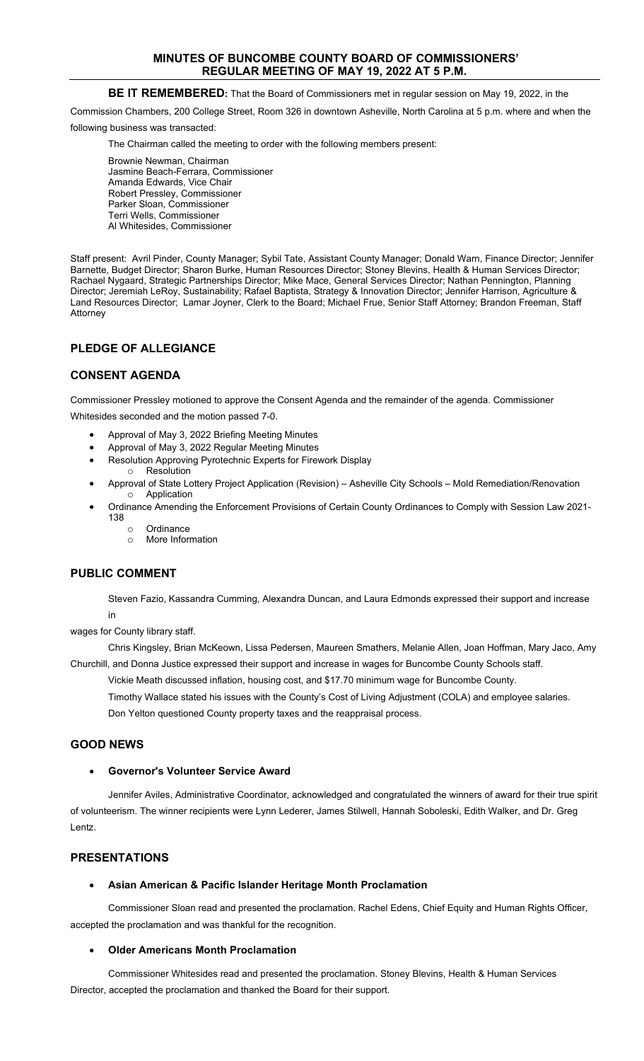### **MINUTES OF BUNCOMBE COUNTY BOARD OF COMMISSIONERS' REGULAR MEETING OF MAY 19, 2022 AT 5 P.M.**

### **BE IT REMEMBERED:** That the Board of Commissioners met in regular session on May 19, 2022, in the

Commission Chambers, 200 College Street, Room 326 in downtown Asheville, North Carolina at 5 p.m. where and when the

following business was transacted:

The Chairman called the meeting to order with the following members present:

Brownie Newman, Chairman Jasmine Beach-Ferrara, Commissioner Amanda Edwards, Vice Chair Robert Pressley, Commissioner Parker Sloan, Commissioner Terri Wells, Commissioner Al Whitesides, Commissioner

Staff present: Avril Pinder, County Manager; Sybil Tate, Assistant County Manager; Donald Warn, Finance Director; Jennifer Barnette, Budget Director; Sharon Burke, Human Resources Director; Stoney Blevins, Health & Human Services Director; Rachael Nygaard, Strategic Partnerships Director; Mike Mace, General Services Director; Nathan Pennington, Planning Director; Jeremiah LeRoy, Sustainability; Rafael Baptista, Strategy & Innovation Director; Jennifer Harrison, Agriculture & Land Resources Director; Lamar Joyner, Clerk to the Board; Michael Frue, Senior Staff Attorney; Brandon Freeman, Staff Attorney

# **PLEDGE OF ALLEGIANCE**

### **CONSENT AGENDA**

Commissioner Pressley motioned to approve the Consent Agenda and the remainder of the agenda. Commissioner Whitesides seconded and the motion passed 7-0.

- Approval of May 3, 2022 Briefing Meeting Minutes
- Approval of May 3, 2022 Regular Meeting Minutes
- Resolution Approving Pyrotechnic Experts for Firework Display
- o Resolution • Approval of State Lottery Project Application (Revision) – Asheville City Schools – Mold Remediation/Renovation o Application
- Ordinance Amending the Enforcement Provisions of Certain County Ordinances to Comply with Session Law 2021- 138
	- Ordinance<br>○ More Inform
	- More Information

### **PUBLIC COMMENT**

Steven Fazio, Kassandra Cumming, Alexandra Duncan, and Laura Edmonds expressed their support and increase in

wages for County library staff.

Chris Kingsley, Brian McKeown, Lissa Pedersen, Maureen Smathers, Melanie Allen, Joan Hoffman, Mary Jaco, Amy Churchill, and Donna Justice expressed their support and increase in wages for Buncombe County Schools staff.

Vickie Meath discussed inflation, housing cost, and \$17.70 minimum wage for Buncombe County.

Timothy Wallace stated his issues with the County's Cost of Living Adjustment (COLA) and employee salaries. Don Yelton questioned County property taxes and the reappraisal process.

# **GOOD NEWS**

### • **Governor's Volunteer Service Award**

Jennifer Aviles, Administrative Coordinator, acknowledged and congratulated the winners of award for their true spirit of volunteerism. The winner recipients were Lynn Lederer, James Stilwell, Hannah Soboleski, Edith Walker, and Dr. Greg Lentz.

# **PRESENTATIONS**

### • **Asian American & Pacific Islander Heritage Month Proclamation**

Commissioner Sloan read and presented the proclamation. Rachel Edens, Chief Equity and Human Rights Officer, accepted the proclamation and was thankful for the recognition.

### • **Older Americans Month Proclamation**

Commissioner Whitesides read and presented the proclamation. Stoney Blevins, Health & Human Services Director, accepted the proclamation and thanked the Board for their support.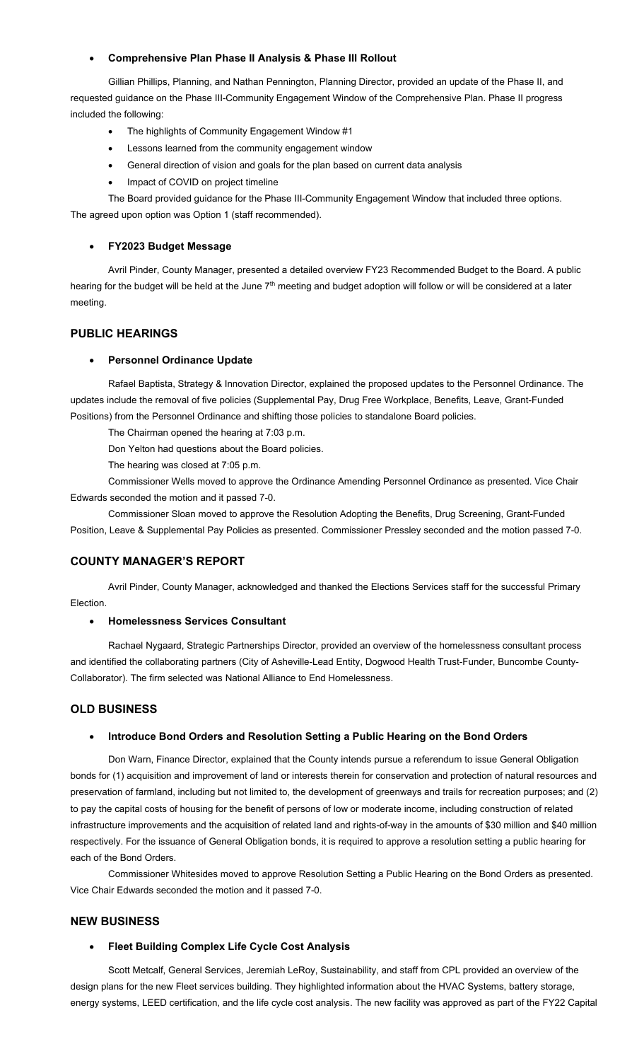#### • **Comprehensive Plan Phase II Analysis & Phase III Rollout**

Gillian Phillips, Planning, and Nathan Pennington, Planning Director, provided an update of the Phase II, and requested guidance on the Phase III-Community Engagement Window of the Comprehensive Plan. Phase II progress included the following:

- The highlights of Community Engagement Window #1
- Lessons learned from the community engagement window
- General direction of vision and goals for the plan based on current data analysis
- Impact of COVID on project timeline

The Board provided guidance for the Phase III-Community Engagement Window that included three options. The agreed upon option was Option 1 (staff recommended).

#### • **FY2023 Budget Message**

Avril Pinder, County Manager, presented a detailed overview FY23 Recommended Budget to the Board. A public hearing for the budget will be held at the June 7<sup>th</sup> meeting and budget adoption will follow or will be considered at a later meeting.

### **PUBLIC HEARINGS**

#### • **Personnel Ordinance Update**

Rafael Baptista, Strategy & Innovation Director, explained the proposed updates to the Personnel Ordinance. The updates include the removal of five policies (Supplemental Pay, Drug Free Workplace, Benefits, Leave, Grant-Funded Positions) from the Personnel Ordinance and shifting those policies to standalone Board policies.

The Chairman opened the hearing at 7:03 p.m.

Don Yelton had questions about the Board policies.

The hearing was closed at 7:05 p.m.

Commissioner Wells moved to approve the Ordinance Amending Personnel Ordinance as presented. Vice Chair Edwards seconded the motion and it passed 7-0.

Commissioner Sloan moved to approve the Resolution Adopting the Benefits, Drug Screening, Grant-Funded Position, Leave & Supplemental Pay Policies as presented. Commissioner Pressley seconded and the motion passed 7-0.

# **COUNTY MANAGER'S REPORT**

Avril Pinder, County Manager, acknowledged and thanked the Elections Services staff for the successful Primary Election.

#### • **Homelessness Services Consultant**

Rachael Nygaard, Strategic Partnerships Director, provided an overview of the homelessness consultant process and identified the collaborating partners (City of Asheville-Lead Entity, Dogwood Health Trust-Funder, Buncombe County-Collaborator). The firm selected was National Alliance to End Homelessness.

### **OLD BUSINESS**

### • **Introduce Bond Orders and Resolution Setting a Public Hearing on the Bond Orders**

Don Warn, Finance Director, explained that the County intends pursue a referendum to issue General Obligation bonds for (1) acquisition and improvement of land or interests therein for conservation and protection of natural resources and preservation of farmland, including but not limited to, the development of greenways and trails for recreation purposes; and (2) to pay the capital costs of housing for the benefit of persons of low or moderate income, including construction of related infrastructure improvements and the acquisition of related land and rights-of-way in the amounts of \$30 million and \$40 million respectively. For the issuance of General Obligation bonds, it is required to approve a resolution setting a public hearing for each of the Bond Orders.

Commissioner Whitesides moved to approve Resolution Setting a Public Hearing on the Bond Orders as presented. Vice Chair Edwards seconded the motion and it passed 7-0.

### **NEW BUSINESS**

### • **Fleet Building Complex Life Cycle Cost Analysis**

Scott Metcalf, General Services, Jeremiah LeRoy, Sustainability, and staff from CPL provided an overview of the design plans for the new Fleet services building. They highlighted information about the HVAC Systems, battery storage, energy systems, LEED certification, and the life cycle cost analysis. The new facility was approved as part of the FY22 Capital